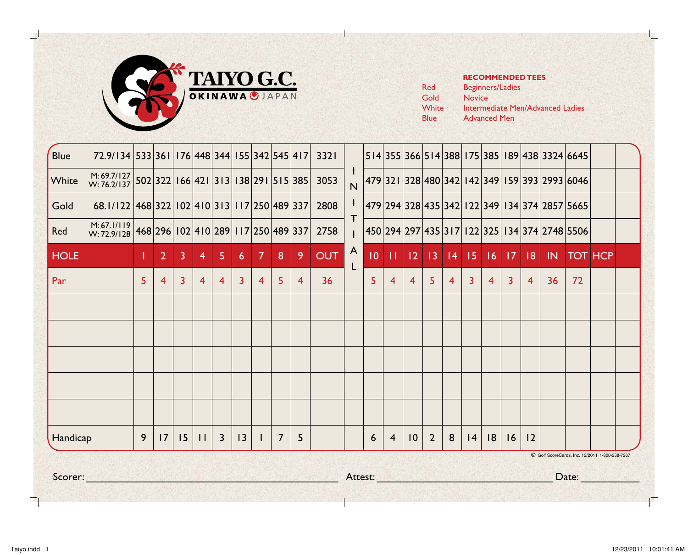

|       | הב         |
|-------|------------|
| Red   | Begi       |
| Gold  | <b>Nov</b> |
| White | Inter      |
| Blue  | Adv        |
|       |            |

## **RECOMMENDED TEES**

inners/Ladies vice ermediate Men/Advanced Ladies vanced Men

| Scorer:     |                                                                       |                |                |                |                |                         |                |                |                |   |            | Attest: Attest: Attest: Attest: Attest: Attest: Attest: Attest: Attest: Attest: Attest: Attest: Attest: Attes |                |                |                 |                |                |                |                |                | C Golf ScoreCards, Inc. 12/2011 1-800-238-7267<br>Date: |                                                                   |                |  |  |  |
|-------------|-----------------------------------------------------------------------|----------------|----------------|----------------|----------------|-------------------------|----------------|----------------|----------------|---|------------|---------------------------------------------------------------------------------------------------------------|----------------|----------------|-----------------|----------------|----------------|----------------|----------------|----------------|---------------------------------------------------------|-------------------------------------------------------------------|----------------|--|--|--|
| Handicap    |                                                                       | 9              | 17             | 15             | $\mathbf{H}$   | $\overline{\mathbf{3}}$ | 3              |                | $\overline{7}$ | 5 |            |                                                                                                               | 6              | $\overline{4}$ | $\overline{10}$ | $\overline{2}$ | 8              | $ 4\rangle$    | 8              | 16             | 12                                                      |                                                                   |                |  |  |  |
|             |                                                                       |                |                |                |                |                         |                |                |                |   |            |                                                                                                               |                |                |                 |                |                |                |                |                |                                                         |                                                                   |                |  |  |  |
|             |                                                                       |                |                |                |                |                         |                |                |                |   |            |                                                                                                               |                |                |                 |                |                |                |                |                |                                                         |                                                                   |                |  |  |  |
|             |                                                                       |                |                |                |                |                         |                |                |                |   |            |                                                                                                               |                |                |                 |                |                |                |                |                |                                                         |                                                                   |                |  |  |  |
| Par         |                                                                       | 5 <sup>1</sup> | $\overline{4}$ | $\overline{3}$ | $\overline{4}$ | $\overline{4}$          | $\overline{3}$ | $\overline{4}$ | 5.             | 4 | 36         |                                                                                                               | 5 <sup>1</sup> | $\overline{4}$ | $\overline{4}$  | $\overline{5}$ | $\overline{4}$ | $\overline{3}$ | $\overline{4}$ | $\overline{3}$ | -4                                                      | 36                                                                | 72             |  |  |  |
| <b>HOLE</b> |                                                                       |                | $\overline{2}$ | 3              | $\overline{4}$ | 5.                      | $\clubsuit$    | <b>7</b>       | 8              | 9 | <b>OUT</b> | A<br>L                                                                                                        |                |                |                 |                |                |                |                |                |                                                         | $10$   11   12   13   14   15   16   17   18   1N                 | <b>TOT HCP</b> |  |  |  |
| Red         | M: 67.1/119 468 296 102 410 289 117 250 489 337                       |                |                |                |                |                         |                |                |                |   | 2758       |                                                                                                               |                |                |                 |                |                |                |                |                |                                                         | 450  294  297  435  3  7  122  325  134  374  2748  5506          |                |  |  |  |
| Gold        | 68.1/122 468 322 102 410 313 117 250 489 337                          |                |                |                |                |                         |                |                |                |   | 2808       | T.                                                                                                            |                |                |                 |                |                |                |                |                |                                                         | 479   294   328   435   342   122   349   134   374   2857   5665 |                |  |  |  |
| White       | $\frac{M: 69.7/127}{W: 76.2/137}$ 502 322 166 421 313 138 291 515 385 |                |                |                |                |                         |                |                |                |   | 3053       | $\overline{N}$                                                                                                |                |                |                 |                |                |                |                |                |                                                         | 479 321 328 480 342 142 349 159 393 2993 6046                     |                |  |  |  |
| <b>Blue</b> | 72.9/134 533 361 176 448 344 155 342 545 417                          |                |                |                |                |                         |                |                |                |   | 3321       |                                                                                                               |                |                |                 |                |                |                |                |                |                                                         | 514 355 366 514 388 175 385 189 438 3324 6645                     |                |  |  |  |